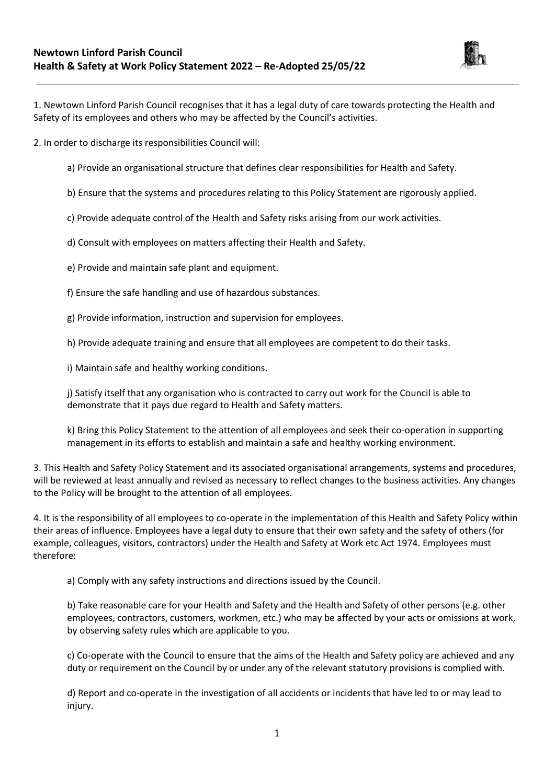

1. Newtown Linford Parish Council recognises that it has a legal duty of care towards protecting the Health and Safety of its employees and others who may be affected by the Council's activities.

2. In order to discharge its responsibilities Council will:

- a) Provide an organisational structure that defines clear responsibilities for Health and Safety.
- b) Ensure that the systems and procedures relating to this Policy Statement are rigorously applied.
- c) Provide adequate control of the Health and Safety risks arising from our work activities.
- d) Consult with employees on matters affecting their Health and Safety.
- e) Provide and maintain safe plant and equipment.
- f) Ensure the safe handling and use of hazardous substances.
- g) Provide information, instruction and supervision for employees.
- h) Provide adequate training and ensure that all employees are competent to do their tasks.
- i) Maintain safe and healthy working conditions.

j) Satisfy itself that any organisation who is contracted to carry out work for the Council is able to demonstrate that it pays due regard to Health and Safety matters.

k) Bring this Policy Statement to the attention of all employees and seek their co-operation in supporting management in its efforts to establish and maintain a safe and healthy working environment.

3. This Health and Safety Policy Statement and its associated organisational arrangements, systems and procedures, will be reviewed at least annually and revised as necessary to reflect changes to the business activities. Any changes to the Policy will be brought to the attention of all employees.

4. It is the responsibility of all employees to co-operate in the implementation of this Health and Safety Policy within their areas of influence. Employees have a legal duty to ensure that their own safety and the safety of others (for example, colleagues, visitors, contractors) under the Health and Safety at Work etc Act 1974. Employees must therefore:

a) Comply with any safety instructions and directions issued by the Council.

b) Take reasonable care for your Health and Safety and the Health and Safety of other persons (e.g. other employees, contractors, customers, workmen, etc.) who may be affected by your acts or omissions at work, by observing safety rules which are applicable to you.

c) Co-operate with the Council to ensure that the aims of the Health and Safety policy are achieved and any duty or requirement on the Council by or under any of the relevant statutory provisions is complied with.

d) Report and co-operate in the investigation of all accidents or incidents that have led to or may lead to injury.